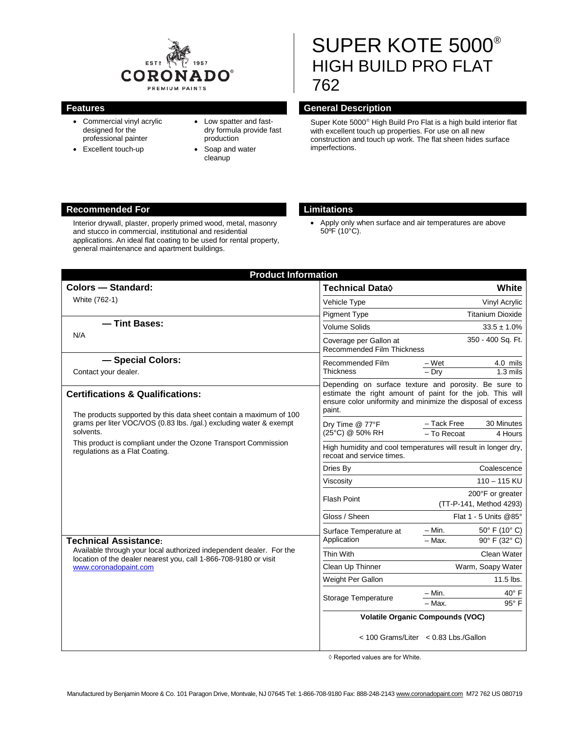

- Commercial vinyl acrylic designed for the professional painter
- Excellent touch-up
- Low spatter and fastdry formula provide fast production
- Soap and water cleanup

# SUPER KOTE 5000® HIGH BUILD PRO FLAT 762

### **Features General Description**

Super Kote 5000<sup>®</sup> High Build Pro Flat is a high build interior flat with excellent touch up properties. For use on all new construction and touch up work. The flat sheen hides surface imperfections.

### **Recommended For Limitations**

Interior drywall, plaster, properly primed wood, metal, masonry and stucco in commercial, institutional and residential applications. An ideal flat coating to be used for rental property, general maintenance and apartment buildings.

• Apply only when surface and air temperatures are above 50ºF (10°C).

| <b>Colors - Standard:</b>                                                                                                                                                                                                                                                                            | <b>Technical Data</b> ♦                                                                                                                                                                     |                                             | White                  |  |
|------------------------------------------------------------------------------------------------------------------------------------------------------------------------------------------------------------------------------------------------------------------------------------------------------|---------------------------------------------------------------------------------------------------------------------------------------------------------------------------------------------|---------------------------------------------|------------------------|--|
| White (762-1)                                                                                                                                                                                                                                                                                        | Vehicle Type                                                                                                                                                                                | Vinyl Acrylic                               |                        |  |
|                                                                                                                                                                                                                                                                                                      | <b>Pigment Type</b>                                                                                                                                                                         | <b>Titanium Dioxide</b>                     |                        |  |
| - Tint Bases:<br>N/A                                                                                                                                                                                                                                                                                 | <b>Volume Solids</b>                                                                                                                                                                        | $33.5 \pm 1.0\%$                            |                        |  |
|                                                                                                                                                                                                                                                                                                      | 350 - 400 Sq. Ft.<br>Coverage per Gallon at<br>Recommended Film Thickness                                                                                                                   |                                             |                        |  |
| - Special Colors:<br>Contact your dealer.                                                                                                                                                                                                                                                            | Recommended Film<br><b>Thickness</b>                                                                                                                                                        | – Wet<br>$-$ Dry                            | 4.0 mils<br>$1.3$ mils |  |
| <b>Certifications &amp; Qualifications:</b><br>The products supported by this data sheet contain a maximum of 100                                                                                                                                                                                    | Depending on surface texture and porosity. Be sure to<br>estimate the right amount of paint for the job. This will<br>ensure color uniformity and minimize the disposal of excess<br>paint. |                                             |                        |  |
| grams per liter VOC/VOS (0.83 lbs. /gal.) excluding water & exempt<br>solvents.                                                                                                                                                                                                                      | Dry Time @ 77°F<br>(25°C) @ 50% RH                                                                                                                                                          | - Tack Free<br>- To Recoat                  | 30 Minutes<br>4 Hours  |  |
| This product is compliant under the Ozone Transport Commission<br>regulations as a Flat Coating.<br><b>Technical Assistance:</b><br>Available through your local authorized independent dealer. For the<br>location of the dealer nearest you, call 1-866-708-9180 or visit<br>www.coronadopaint.com | High humidity and cool temperatures will result in longer dry,<br>recoat and service times.                                                                                                 |                                             |                        |  |
|                                                                                                                                                                                                                                                                                                      | Dries By                                                                                                                                                                                    | Coalescence                                 |                        |  |
|                                                                                                                                                                                                                                                                                                      | Viscosity                                                                                                                                                                                   | $110 - 115$ KU                              |                        |  |
|                                                                                                                                                                                                                                                                                                      | Flash Point                                                                                                                                                                                 | 200°F or greater<br>(TT-P-141, Method 4293) |                        |  |
|                                                                                                                                                                                                                                                                                                      | Gloss / Sheen                                                                                                                                                                               | Flat 1 - 5 Units @85°                       |                        |  |
|                                                                                                                                                                                                                                                                                                      | Surface Temperature at<br>Application                                                                                                                                                       | – Min.                                      | 50° F (10° C)          |  |
|                                                                                                                                                                                                                                                                                                      |                                                                                                                                                                                             | $-$ Max.                                    | 90° F (32° C)          |  |
|                                                                                                                                                                                                                                                                                                      | Thin With                                                                                                                                                                                   | Clean Water                                 |                        |  |
|                                                                                                                                                                                                                                                                                                      | Clean Up Thinner                                                                                                                                                                            | Warm, Soapy Water                           |                        |  |
|                                                                                                                                                                                                                                                                                                      | Weight Per Gallon                                                                                                                                                                           | 11.5 lbs.                                   |                        |  |
|                                                                                                                                                                                                                                                                                                      | Storage Temperature                                                                                                                                                                         | $- Min.$<br>$-$ Max.                        | 40° F<br>95°F          |  |
|                                                                                                                                                                                                                                                                                                      | <b>Volatile Organic Compounds (VOC)</b>                                                                                                                                                     |                                             |                        |  |
|                                                                                                                                                                                                                                                                                                      | < 100 Grams/Liter < 0.83 Lbs./Gallon                                                                                                                                                        |                                             |                        |  |

◊ Reported values are for White.